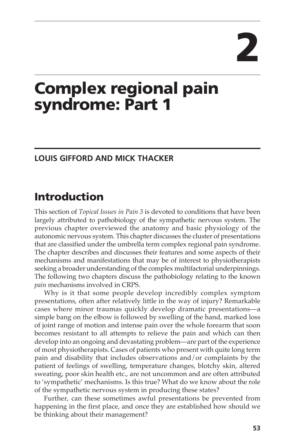# **2**

# **Complex regional pain syndrome: Part 1**

#### **LOUIS GIFFORD AND MICK THACKER**

# **Introduction**

This section of *Topical Issues in Pain 3* is devoted to conditions that have been largely attributed to pathobiology of the sympathetic nervous system. The previous chapter overviewed the anatomy and basic physiology of the autonomic nervous system. This chapter discusses the cluster of presentations that are classified under the umbrella term complex regional pain syndrome. The chapter describes and discusses their features and some aspects of their mechanisms and manifestations that may be of interest to physiotherapists seeking a broader understanding of the complex multifactorial underpinnings. The following two chapters discuss the pathobiology relating to the known *pain* mechanisms involved in CRPS.

Why is it that some people develop incredibly complex symptom presentations, often after relatively little in the way of injury? Remarkable cases where minor traumas quickly develop dramatic presentations—a simple bang on the elbow is followed by swelling of the hand, marked loss of joint range of motion and intense pain over the whole forearm that soon becomes resistant to all attempts to relieve the pain and which can then develop into an ongoing and devastating problem—are part of the experience of most physiotherapists. Cases of patients who present with quite long term pain and disability that includes observations and/or complaints by the patient of feelings of swelling, temperature changes, blotchy skin, altered sweating, poor skin health etc., are not uncommon and are often attributed to 'sympathetic' mechanisms. Is this true? What do we know about the role of the sympathetic nervous system in producing these states?

Further, can these sometimes awful presentations be prevented from happening in the first place, and once they are established how should we be thinking about their management?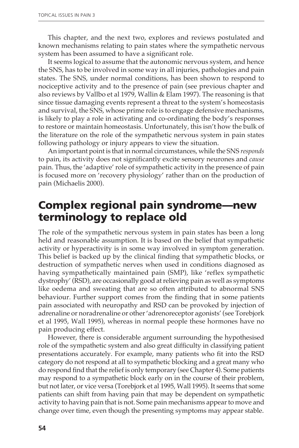This chapter, and the next two, explores and reviews postulated and known mechanisms relating to pain states where the sympathetic nervous system has been assumed to have a significant role.

It seems logical to assume that the autonomic nervous system, and hence the SNS, has to be involved in some way in all injuries, pathologies and pain states. The SNS, under normal conditions, has been shown to respond to nociceptive activity and to the presence of pain (see previous chapter and also reviews by Vallbo et al 1979, Wallin & Elam 1997). The reasoning is that since tissue damaging events represent a threat to the system's homeostasis and survival, the SNS, whose prime role is to engage defensive mechanisms, is likely to play a role in activating and co-ordinating the body's responses to restore or maintain homeostasis. Unfortunately, this isn't how the bulk of the literature on the role of the sympathetic nervous system in pain states following pathology or injury appears to view the situation.

An important point is that in normal circumstances, while the SNS *responds* to pain, its activity does not significantly excite sensory neurones and *cause* pain. Thus, the 'adaptive' role of sympathetic activity in the presence of pain is focused more on 'recovery physiology' rather than on the production of pain (Michaelis 2000).

### **Complex regional pain syndrome—new terminology to replace old**

The role of the sympathetic nervous system in pain states has been a long held and reasonable assumption. It is based on the belief that sympathetic activity or hyperactivity is in some way involved in symptom generation. This belief is backed up by the clinical finding that sympathetic blocks, or destruction of sympathetic nerves when used in conditions diagnosed as having sympathetically maintained pain (SMP), like 'reflex sympathetic dystrophy' (RSD), are occasionally good at relieving pain as well as symptoms like oedema and sweating that are so often attributed to abnormal SNS behaviour. Further support comes from the finding that in some patients pain associated with neuropathy and RSD can be provoked by injection of adrenaline or noradrenaline or other 'adrenoreceptor agonists' (see Torebjork et al 1995, Wall 1995), whereas in normal people these hormones have no pain producing effect.

However, there is considerable argument surrounding the hypothesised role of the sympathetic system and also great difficulty in classifying patient presentations accurately. For example, many patients who fit into the RSD category do not respond at all to sympathetic blocking and a great many who do respond find that the relief is only temporary (see Chapter 4). Some patients may respond to a sympathetic block early on in the course of their problem, but not later, or vice versa (Torebjork et al 1995, Wall 1995). It seems that some patients can shift from having pain that may be dependent on sympathetic activity to having pain that is not. Some pain mechanisms appear to move and change over time, even though the presenting symptoms may appear stable.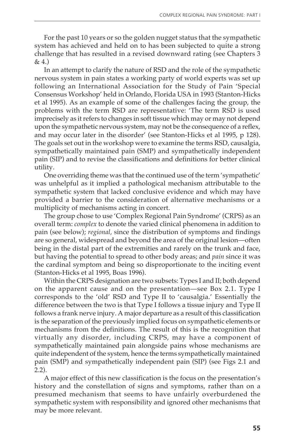For the past 10 years or so the golden nugget status that the sympathetic system has achieved and held on to has been subjected to quite a strong challenge that has resulted in a revised downward rating (see Chapters 3  $& 4.$ )

In an attempt to clarify the nature of RSD and the role of the sympathetic nervous system in pain states a working party of world experts was set up following an International Association for the Study of Pain 'Special Consensus Workshop' held in Orlando, Florida USA in 1993 (Stanton-Hicks et al 1995). As an example of some of the challenges facing the group, the problems with the term RSD are representative: 'The term RSD is used imprecisely as it refers to changes in soft tissue which may or may not depend upon the sympathetic nervous system, may not be the consequence of a reflex, and may occur later in the disorder' (see Stanton-Hicks et al 1995, p 128). The goals set out in the workshop were to examine the terms RSD, causalgia, sympathetically maintained pain (SMP) and sympathetically independent pain (SIP) and to revise the classifications and definitions for better clinical utility.

One overriding theme was that the continued use of the term 'sympathetic' was unhelpful as it implied a pathological mechanism attributable to the sympathetic system that lacked conclusive evidence and which may have provided a barrier to the consideration of alternative mechanisms or a multiplicity of mechanisms acting in concert.

The group chose to use 'Complex Regional Pain Syndrome' (CRPS) as an overall term: *complex* to denote the varied clinical phenomena in addition to pain (see below); *regional,* since the distribution of symptoms and findings are so general, widespread and beyond the area of the original lesion—often being in the distal part of the extremities and rarely on the trunk and face, but having the potential to spread to other body areas; and *pain* since it was the cardinal symptom and being so disproportionate to the inciting event (Stanton-Hicks et al 1995, Boas 1996).

Within the CRPS designation are two subsets: Types I and II; both depend on the apparent cause and on the presentation—see Box 2.1. Type I corresponds to the 'old' RSD and Type II to 'causalgia.' Essentially the difference between the two is that Type I follows a tissue injury and Type II follows a frank nerve injury. A major departure as a result of this classification is the separation of the previously implied focus on sympathetic elements or mechanisms from the definitions. The result of this is the recognition that virtually any disorder, including CRPS, may have a component of sympathetically maintained pain alongside pains whose mechanisms are quite independent of the system, hence the terms sympathetically maintained pain (SMP) and sympathetically independent pain (SIP) (see Figs 2.1 and 2.2).

A major effect of this new classification is the focus on the presentation's history and the constellation of signs and symptoms, rather than on a presumed mechanism that seems to have unfairly overburdened the sympathetic system with responsibility and ignored other mechanisms that may be more relevant.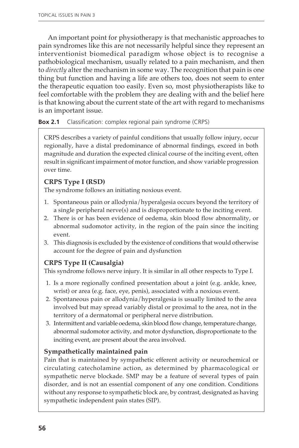An important point for physiotherapy is that mechanistic approaches to pain syndromes like this are not necessarily helpful since they represent an interventionist biomedical paradigm whose object is to recognise a pathobiological mechanism, usually related to a pain mechanism, and then to *directly* alter the mechanism in some way. The recognition that pain is one thing but function and having a life are others too, does not seem to enter the therapeutic equation too easily. Even so, most physiotherapists like to feel comfortable with the problem they are dealing with and the belief here is that knowing about the current state of the art with regard to mechanisms is an important issue.

#### **Box 2.1** Classification: complex regional pain syndrome (CRPS)

CRPS describes a variety of painful conditions that usually follow injury, occur regionally, have a distal predominance of abnormal findings, exceed in both magnitude and duration the expected clinical course of the inciting event, often result in significant impairment of motor function, and show variable progression over time.

#### **CRPS Type I (RSD)**

The syndrome follows an initiating noxious event.

- 1. Spontaneous pain or allodynia/hyperalgesia occurs beyond the territory of a single peripheral nerve(s) and is disproportionate to the inciting event.
- 2. There is or has been evidence of oedema, skin blood flow abnormality, or abnormal sudomotor activity, in the region of the pain since the inciting event.
- 3. This diagnosis is excluded by the existence of conditions that would otherwise account for the degree of pain and dysfunction

#### **CRPS Type II (Causalgia)**

This syndrome follows nerve injury. It is similar in all other respects to Type I.

- 1. Is a more regionally confined presentation about a joint (e.g. ankle, knee, wrist) or area (e.g. face, eye, penis), associated with a noxious event.
- 2. Spontaneous pain or allodynia/hyperalgesia is usually limited to the area involved but may spread variably distal or proximal to the area, not in the territory of a dermatomal or peripheral nerve distribution.
- 3. Intermittent and variable oedema, skin blood flow change, temperature change, abnormal sudomotor activity, and motor dysfunction, disproportionate to the inciting event, are present about the area involved.

#### **Sympathetically maintained pain**

Pain that is maintained by sympathetic efferent activity or neurochemical or circulating catecholamine action, as determined by pharmacological or sympathetic nerve blockade. SMP may be a feature of several types of pain disorder, and is not an essential component of any one condition. Conditions without any response to sympathetic block are, by contrast, designated as having sympathetic independent pain states (SIP).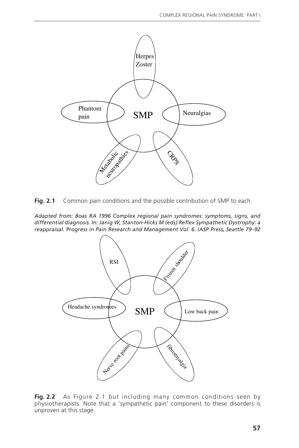



*Adapted from: Boas RA 1996 Complex regional pain syndromes: symptoms, signs, and differential diagnosis. In: Janig W, Stanton-Hicks M (eds) Reflex Sympathetic Dystrophy: a reappraisal. Progress in Pain Research and Management Vol. 6. IASP Press, Seattle 79–92*



**Fig. 2.2** As Figure 2.1 but including many common conditions seen by physiotherapists. Note that a 'sympathetic pain' component to these disorders is unproven at this stage.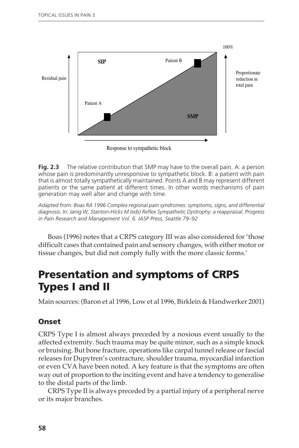

**Fig. 2.3** The relative contribution that SMP may have to the overall pain. A: a person whose pain is predominantly unresponsive to sympathetic block. B: a patient with pain that is almost totally sympathetically maintained. Points A and B may represent different patients or the same patient at different times. In other words mechanisms of pain generation may well alter and change with time.

*Adapted from: Boas RA 1996 Complex regional pain syndromes: symptoms, signs, and differential diagnosis. In: Janig W, Stanton-Hicks M (eds) Reflex Sympathetic Dystrophy: a reappraisal. Progress in Pain Research and Management Vol. 6. IASP Press, Seattle 79–92*

Boas (1996) notes that a CRPS category III was also considered for 'those difficult cases that contained pain and sensory changes, with either motor or tissue changes, but did not comply fully with the more classic forms.'

# **Presentation and symptoms of CRPS Types I and II**

Main sources: (Baron et al 1996, Low et al 1996, Birklein & Handwerker 2001)

#### **Onset**

CRPS Type I is almost always preceded by a noxious event usually to the affected extremity. Such trauma may be quite minor, such as a simple knock or bruising. But bone fracture, operations like carpal tunnel release or fascial releases for Dupytren's contracture, shoulder trauma, myocardial infarction or even CVA have been noted. A key feature is that the symptoms are often way out of proportion to the inciting event and have a tendency to generalise to the distal parts of the limb.

CRPS Type II is always preceded by a partial injury of a peripheral nerve or its major branches.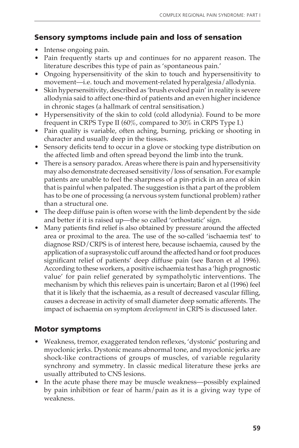#### **Sensory symptoms include pain and loss of sensation**

- Intense ongoing pain.
- Pain frequently starts up and continues for no apparent reason. The literature describes this type of pain as 'spontaneous pain.'
- Ongoing hypersensitivity of the skin to touch and hypersensitivity to movement—i.e. touch and movement-related hyperalgesia/allodynia.
- Skin hypersensitivity, described as 'brush evoked pain' in reality is severe allodynia said to affect one-third of patients and an even higher incidence in chronic stages (a hallmark of central sensitisation.)
- Hypersensitivity of the skin to cold (cold allodynia). Found to be more frequent in CRPS Type II (60%, compared to 30% in CRPS Type I.)
- Pain quality is variable, often aching, burning, pricking or shooting in character and usually deep in the tissues.
- Sensory deficits tend to occur in a glove or stocking type distribution on the affected limb and often spread beyond the limb into the trunk.
- There is a sensory paradox. Areas where there is pain and hypersensitivity may also demonstrate decreased sensitivity/loss of sensation. For example patients are unable to feel the sharpness of a pin-prick in an area of skin that is painful when palpated. The suggestion is that a part of the problem has to be one of processing (a nervous system functional problem) rather than a structural one.
- The deep diffuse pain is often worse with the limb dependent by the side and better if it is raised up—the so called 'orthostatic' sign.
- Many patients find relief is also obtained by pressure around the affected area or proximal to the area. The use of the so-called 'ischaemia test' to diagnose RSD/CRPS is of interest here, because ischaemia, caused by the application of a suprasystolic cuff around the affected hand or foot produces significant relief of patients' deep diffuse pain (see Baron et al 1996). According to these workers, a positive ischaemia test has a 'high prognostic value' for pain relief generated by sympatholytic interventions. The mechanism by which this relieves pain is uncertain; Baron et al (1996) feel that it is likely that the ischaemia, as a result of decreased vascular filling, causes a decrease in activity of small diameter deep somatic afferents. The impact of ischaemia on symptom *development* in CRPS is discussed later.

#### **Motor symptoms**

- Weakness, tremor, exaggerated tendon reflexes, 'dystonic' posturing and myoclonic jerks. Dystonic means abnormal tone, and myoclonic jerks are shock-like contractions of groups of muscles, of variable regularity synchrony and symmetry. In classic medical literature these jerks are usually attributed to CNS lesions.
- In the acute phase there may be muscle weakness—possibly explained by pain inhibition or fear of harm/pain as it is a giving way type of weakness.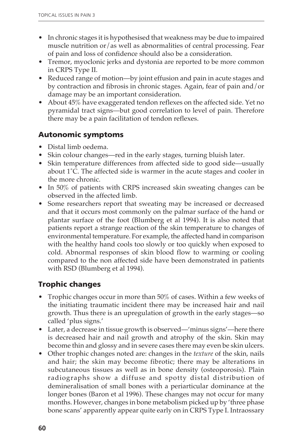- In chronic stages it is hypothesised that weakness may be due to impaired muscle nutrition or/as well as abnormalities of central processing. Fear of pain and loss of confidence should also be a consideration.
- Tremor, myoclonic jerks and dystonia are reported to be more common in CRPS Type II.
- Reduced range of motion—by joint effusion and pain in acute stages and by contraction and fibrosis in chronic stages. Again, fear of pain and/or damage may be an important consideration.
- About 45% have exaggerated tendon reflexes on the affected side. Yet no pyramidal tract signs—but good correlation to level of pain. Therefore there may be a pain facilitation of tendon reflexes.

#### **Autonomic symptoms**

- Distal limb oedema.
- Skin colour changes—red in the early stages, turning bluish later.
- Skin temperature differences from affected side to good side—usually about 1˚C. The affected side is warmer in the acute stages and cooler in the more chronic.
- In 50% of patients with CRPS increased skin sweating changes can be observed in the affected limb.
- Some researchers report that sweating may be increased or decreased and that it occurs most commonly on the palmar surface of the hand or plantar surface of the foot (Blumberg et al 1994). It is also noted that patients report a strange reaction of the skin temperature to changes of environmental temperature. For example, the affected hand in comparison with the healthy hand cools too slowly or too quickly when exposed to cold. Abnormal responses of skin blood flow to warming or cooling compared to the non affected side have been demonstrated in patients with RSD (Blumberg et al 1994).

#### **Trophic changes**

- Trophic changes occur in more than 50% of cases. Within a few weeks of the initiating traumatic incident there may be increased hair and nail growth. Thus there is an upregulation of growth in the early stages—so called 'plus signs.'
- Later, a decrease in tissue growth is observed—'minus signs'—here there is decreased hair and nail growth and atrophy of the skin. Skin may become thin and glossy and in severe cases there may even be skin ulcers.
- Other trophic changes noted are: changes in the *texture* of the skin, nails and hair; the skin may become fibrotic; there may be alterations in subcutaneous tissues as well as in bone density (osteoporosis). Plain radiographs show a diffuse and spotty distal distribution of demineralisation of small bones with a periarticular dominance at the longer bones (Baron et al 1996). These changes may not occur for many months. However, changes in bone metabolism picked up by 'three phase bone scans' apparently appear quite early on in CRPS Type I. Intraossary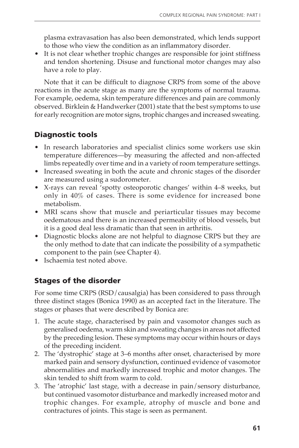plasma extravasation has also been demonstrated, which lends support to those who view the condition as an inflammatory disorder.

• It is not clear whether trophic changes are responsible for joint stiffness and tendon shortening. Disuse and functional motor changes may also have a role to play.

Note that it can be difficult to diagnose CRPS from some of the above reactions in the acute stage as many are the symptoms of normal trauma. For example, oedema, skin temperature differences and pain are commonly observed. Birklein & Handwerker (2001) state that the best symptoms to use for early recognition are motor signs, trophic changes and increased sweating.

#### **Diagnostic tools**

- In research laboratories and specialist clinics some workers use skin temperature differences—by measuring the affected and non-affected limbs repeatedly over time and in a variety of room temperature settings.
- Increased sweating in both the acute and chronic stages of the disorder are measured using a sudorometer.
- X-rays can reveal 'spotty osteoporotic changes' within 4–8 weeks, but only in 40% of cases. There is some evidence for increased bone metabolism.
- MRI scans show that muscle and periarticular tissues may become oedematous and there is an increased permeability of blood vessels, but it is a good deal less dramatic than that seen in arthritis.
- Diagnostic blocks alone are not helpful to diagnose CRPS but they are the only method to date that can indicate the possibility of a sympathetic component to the pain (see Chapter 4).
- Ischaemia test noted above.

#### **Stages of the disorder**

For some time CRPS (RSD/causalgia) has been considered to pass through three distinct stages (Bonica 1990) as an accepted fact in the literature. The stages or phases that were described by Bonica are:

- 1. The acute stage, characterised by pain and vasomotor changes such as generalised oedema, warm skin and sweating changes in areas not affected by the preceding lesion. These symptoms may occur within hours or days of the preceding incident.
- 2. The 'dystrophic' stage at 3–6 months after onset, characterised by more marked pain and sensory dysfunction, continued evidence of vasomotor abnormalities and markedly increased trophic and motor changes. The skin tended to shift from warm to cold.
- 3. The 'atrophic' last stage, with a decrease in pain/sensory disturbance, but continued vasomotor disturbance and markedly increased motor and trophic changes. For example, atrophy of muscle and bone and contractures of joints. This stage is seen as permanent.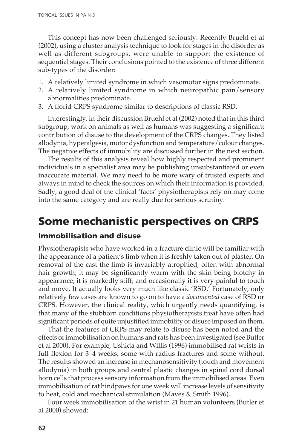This concept has now been challenged seriously. Recently Bruehl et al (2002), using a cluster analysis technique to look for stages in the disorder as well as different subgroups, were unable to support the existence of sequential stages. Their conclusions pointed to the existence of three different sub-types of the disorder:

- 1. A relatively limited syndrome in which vasomotor signs predominate.
- 2. A relatively limited syndrome in which neuropathic pain/sensory abnormalities predominate.
- 3. A florid CRPS syndrome similar to descriptions of classic RSD.

Interestingly, in their discussion Bruehl et al (2002) noted that in this third subgroup, work on animals as well as humans was suggesting a significant contribution of disuse to the development of the CRPS changes. They listed allodynia, hyperalgesia, motor dysfunction and temperature/colour changes. The negative effects of immobility are discussed further in the next section.

The results of this analysis reveal how highly respected and prominent individuals in a specialist area may be publishing unsubstantiated or even inaccurate material. We may need to be more wary of trusted experts and always in mind to check the sources on which their information is provided. Sadly, a good deal of the clinical 'facts' physiotherapists rely on may come into the same category and are really due for serious scrutiny.

## **Some mechanistic perspectives on CRPS**

#### **Immobilisation and disuse**

Physiotherapists who have worked in a fracture clinic will be familiar with the appearance of a patient's limb when it is freshly taken out of plaster. On removal of the cast the limb is invariably atrophied, often with abnormal hair growth; it may be significantly warm with the skin being blotchy in appearance; it is markedly stiff; and occasionally it is very painful to touch and move. It actually looks very much like classic 'RSD.' Fortunately, only relatively few cases are known to go on to have a *documented* case of RSD or CRPS. However, the clinical reality, which urgently needs quantifying, is that many of the stubborn conditions physiotherapists treat have often had significant periods of quite unjustified immobility or disuse imposed on them.

That the features of CRPS may relate to disuse has been noted and the effects of immobilisation on humans and rats has been investigated (see Butler et al 2000). For example, Ushida and Willis (1996) immobilised rat wrists in full flexion for 3–4 weeks, some with radius fractures and some without. The results showed an increase in mechanosensitivity (touch and movement allodynia) in both groups and central plastic changes in spinal cord dorsal horn cells that process sensory information from the immobilised areas. Even immobilisation of rat hindpaws for one week will increase levels of sensitivity to heat, cold and mechanical stimulation (Maves & Smith 1996).

Four week immobilisation of the wrist in 21 human volunteers (Butler et al 2000) showed: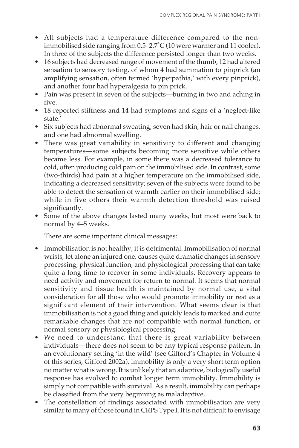- All subjects had a temperature difference compared to the nonimmobilised side ranging from 0.5–2.7°C (10 were warmer and 11 cooler). In three of the subjects the difference persisted longer than two weeks.
- 16 subjects had decreased range of movement of the thumb, 12 had altered sensation to sensory testing, of whom 4 had summation to pinprick (an amplifying sensation, often termed 'hyperpathia,' with every pinprick), and another four had hyperalgesia to pin prick.
- Pain was present in seven of the subjects—burning in two and aching in five.
- 18 reported stiffness and 14 had symptoms and signs of a 'neglect-like state.'
- Six subjects had abnormal sweating, seven had skin, hair or nail changes, and one had abnormal swelling.
- There was great variability in sensitivity to different and changing temperatures—some subjects becoming more sensitive while others became less. For example, in some there was a decreased tolerance to cold, often producing cold pain on the immobilised side. In contrast, some (two-thirds) had pain at a higher temperature on the immobilised side, indicating a decreased sensitivity; seven of the subjects were found to be able to detect the sensation of warmth earlier on their immobilised side; while in five others their warmth detection threshold was raised significantly.
- Some of the above changes lasted many weeks, but most were back to normal by 4–5 weeks.

There are some important clinical messages:

- Immobilisation is not healthy, it is detrimental. Immobilisation of normal wrists, let alone an injured one, causes quite dramatic changes in sensory processing, physical function, and physiological processing that can take quite a long time to recover in some individuals. Recovery appears to need activity and movement for return to normal. It seems that normal sensitivity and tissue health is maintained by normal use, a vital consideration for all those who would promote immobility or rest as a significant element of their intervention. What seems clear is that immobilisation is not a good thing and quickly leads to marked and quite remarkable changes that are not compatible with normal function, or normal sensory or physiological processing.
- We need to understand that there is great variability between individuals—there does not seem to be any typical response pattern. In an evolutionary setting 'in the wild' (see Gifford's Chapter in Volume 4 of this series, Gifford 2002a), immobility is only a very short term option no matter what is wrong. It is unlikely that an adaptive, biologically useful response has evolved to combat longer term immobility. Immobility is simply not compatible with survival. As a result, immobility can perhaps be classified from the very beginning as maladaptive.
- The constellation of findings associated with immobilisation are very similar to many of those found in CRPS Type I. It is not difficult to envisage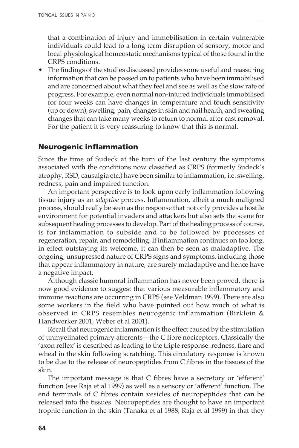that a combination of injury and immobilisation in certain vulnerable individuals could lead to a long term disruption of sensory, motor and local physiological homeostatic mechanisms typical of those found in the CRPS conditions.

• The findings of the studies discussed provides some useful and reassuring information that can be passed on to patients who have been immobilised and are concerned about what they feel and see as well as the slow rate of progress. For example, even normal non-injured individuals immobilised for four weeks can have changes in temperature and touch sensitivity (up or down), swelling, pain, changes in skin and nail health, and sweating changes that can take many weeks to return to normal after cast removal. For the patient it is very reassuring to know that this is normal.

#### **Neurogenic inflammation**

Since the time of Sudeck at the turn of the last century the symptoms associated with the conditions now classified as CRPS (formerly Sudeck's atrophy, RSD, causalgia etc.) have been similar to inflammation, i.e. swelling, redness, pain and impaired function.

An important perspective is to look upon early inflammation following tissue injury as an *adaptive* process. Inflammation, albeit a much maligned process, should really be seen as the response that not only provides a hostile environment for potential invaders and attackers but also sets the scene for subsequent healing processes to develop. Part of the healing process of course, is for inflammation to subside and to be followed by processes of regeneration, repair, and remodelling. If inflammation continues on too long, in effect outstaying its welcome, it can then be seen as maladaptive. The ongoing, unsupressed nature of CRPS signs and symptoms, including those that appear inflammatory in nature, are surely maladaptive and hence have a negative impact.

Although classic humoral inflammation has never been proved, there is now good evidence to suggest that various measurable inflammatory and immune reactions are occurring in CRPS (see Veldman 1999). There are also some workers in the field who have pointed out how much of what is observed in CRPS resembles neurogenic inflammation (Birklein & Handwerker 2001, Weber et al 2001).

Recall that neurogenic inflammation is the effect caused by the stimulation of unmyelinated primary afferents—the C fibre nociceptors. Classically the 'axon reflex' is described as leading to the triple response: redness, flare and wheal in the skin following scratching. This circulatory response is known to be due to the release of neuropeptides from C fibres in the tissues of the skin.

The important message is that C fibres have a secretory or 'efferent' function (see Raja et al 1999) as well as a sensory or 'afferent' function. The end terminals of C fibres contain vesicles of neuropeptides that can be released into the tissues. Neuropeptides are thought to have an important trophic function in the skin (Tanaka et al 1988, Raja et al 1999) in that they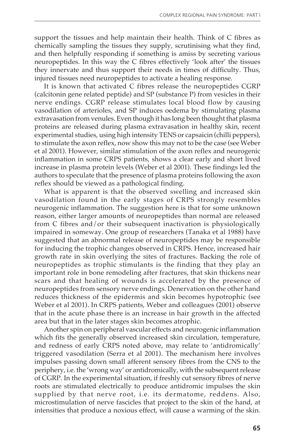support the tissues and help maintain their health. Think of C fibres as chemically sampling the tissues they supply, scrutinising what they find, and then helpfully responding if something is amiss by secreting various neuropeptides. In this way the C fibres effectively 'look after' the tissues they innervate and thus support their needs in times of difficulty. Thus, injured tissues need neuropeptides to activate a healing response.

It is known that activated C fibres release the neuropeptides CGRP (calcitonin gene related peptide) and SP (substance P) from vesicles in their nerve endings. CGRP release stimulates local blood flow by causing vasodilation of arterioles, and SP induces oedema by stimulating plasma extravasation from venules. Even though it has long been thought that plasma proteins are released during plasma extravasation in healthy skin, recent experimental studies, using high intensity TENS or capsaicin (chilli peppers), to stimulate the axon reflex, now show this may not to be the case (see Weber et al 2001). However, similar stimulation of the axon reflex and neurogenic inflammation in some CRPS patients, shows a clear early and short lived increase in plasma protein levels (Weber et al 2001). These findings led the authors to speculate that the presence of plasma proteins following the axon reflex should be viewed as a pathological finding.

What is apparent is that the observed swelling and increased skin vasodilation found in the early stages of CRPS strongly resembles neurogenic inflammation. The suggestion here is that for some unknown reason, either larger amounts of neuropeptides than normal are released from C fibres and/or their subsequent inactivation is physiologically impaired in someway. One group of researchers (Tanaka et al 1988) have suggested that an abnormal release of neuropeptides may be responsible for inducing the trophic changes observed in CRPS. Hence, increased hair growth rate in skin overlying the sites of fractures. Backing the role of neuropeptides as trophic stimulants is the finding that they play an important role in bone remodeling after fractures, that skin thickens near scars and that healing of wounds is accelerated by the presence of neuropeptides from sensory nerve endings. Denervation on the other hand reduces thickness of the epidermis and skin becomes hypotrophic (see Weber et al 2001). In CRPS patients, Weber and colleagues (2001) observe that in the acute phase there is an increase in hair growth in the affected area but that in the later stages skin becomes atrophic.

Another spin on peripheral vascular effects and neurogenic inflammation which fits the generally observed increased skin circulation, temperature, and redness of early CRPS noted above, may relate to 'antidromically' triggered vasodilation (Serra et al 2001). The mechanism here involves impulses passing down small afferent sensory fibres from the CNS to the periphery, i.e. the 'wrong way' or antidromically, with the subsequent release of CGRP. In the experimental situation, if freshly cut sensory fibres of nerve roots are stimulated electrically to produce antidromic impulses the skin supplied by that nerve root, i.e. its dermatome, reddens. Also, microstimulation of nerve fascicles that project to the skin of the hand, at intensities that produce a noxious effect, will cause a warming of the skin.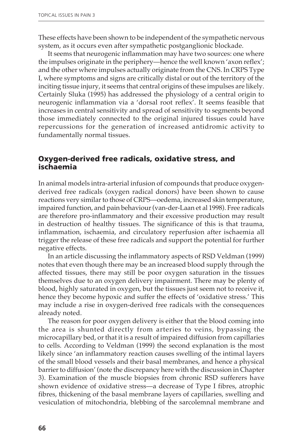These effects have been shown to be independent of the sympathetic nervous system, as it occurs even after sympathetic postganglionic blockade.

It seems that neurogenic inflammation may have two sources: one where the impulses originate in the periphery—hence the well known 'axon reflex'; and the other where impulses actually originate from the CNS. In CRPS Type I, where symptoms and signs are critically distal or out of the territory of the inciting tissue injury, it seems that central origins of these impulses are likely. Certainly Sluka (1995) has addressed the physiology of a central origin to neurogenic inflammation via a 'dorsal root reflex'. It seems feasible that increases in central sensitivity and spread of sensitivity to segments beyond those immediately connected to the original injured tissues could have repercussions for the generation of increased antidromic activity to fundamentally normal tissues.

#### **Oxygen-derived free radicals, oxidative stress, and ischaemia**

In animal models intra-arterial infusion of compounds that produce oxygenderived free radicals (oxygen radical donors) have been shown to cause reactions very similar to those of CRPS—oedema, increased skin temperature, impaired function, and pain behaviour (van-der-Laan et al 1998). Free radicals are therefore pro-inflammatory and their excessive production may result in destruction of healthy tissues. The significance of this is that trauma, inflammation, ischaemia, and circulatory reperfusion after ischaemia all trigger the release of these free radicals and support the potential for further negative effects.

In an article discussing the inflammatory aspects of RSD Veldman (1999) notes that even though there may be an increased blood supply through the affected tissues, there may still be poor oxygen saturation in the tissues themselves due to an oxygen delivery impairment. There may be plenty of blood, highly saturated in oxygen, but the tissues just seem not to receive it, hence they become hypoxic and suffer the effects of 'oxidative stress.' This may include a rise in oxygen-derived free radicals with the consequences already noted.

The reason for poor oxygen delivery is either that the blood coming into the area is shunted directly from arteries to veins, bypassing the microcapillary bed, or that it is a result of impaired diffusion from capillaries to cells. According to Veldman (1999) the second explanation is the most likely since 'an inflammatory reaction causes swelling of the intimal layers of the small blood vessels and their basal membranes, and hence a physical barrier to diffusion' (note the discrepancy here with the discussion in Chapter 3). Examination of the muscle biopsies from chronic RSD sufferers have shown evidence of oxidative stress—a decrease of Type I fibres, atrophic fibres, thickening of the basal membrane layers of capillaries, swelling and vesiculation of mitochondria, blebbing of the sarcolemnal membrane and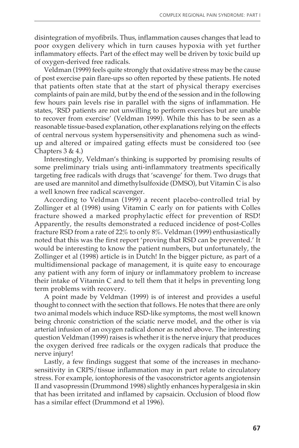disintegration of myofibrils. Thus, inflammation causes changes that lead to poor oxygen delivery which in turn causes hypoxia with yet further inflammatory effects. Part of the effect may well be driven by toxic build up of oxygen-derived free radicals.

Veldman (1999) feels quite strongly that oxidative stress may be the cause of post exercise pain flare-ups so often reported by these patients. He noted that patients often state that at the start of physical therapy exercises complaints of pain are mild, but by the end of the session and in the following few hours pain levels rise in parallel with the signs of inflammation. He states, 'RSD patients are not unwilling to perform exercises but are unable to recover from exercise' (Veldman 1999). While this has to be seen as a reasonable tissue-based explanation, other explanations relying on the effects of central nervous system hypersensitivity and phenomena such as windup and altered or impaired gating effects must be considered too (see Chapters 3 & 4.)

Interestingly, Veldman's thinking is supported by promising results of some preliminary trials using anti-inflammatory treatments specifically targeting free radicals with drugs that 'scavenge' for them. Two drugs that are used are mannitol and dimethylsulfoxide (DMSO), but Vitamin C is also a well known free radical scavenger.

According to Veldman (1999) a recent placebo-controlled trial by Zollinger et al (1998) using Vitamin C early on for patients with Colles fracture showed a marked prophylactic effect for prevention of RSD! Apparently, the results demonstrated a reduced incidence of post-Colles fracture RSD from a rate of 22% to only 8%. Veldman (1999) enthusiastically noted that this was the first report 'proving that RSD can be prevented.' It would be interesting to know the patient numbers, but unfortunately, the Zollinger et al (1998) article is in Dutch! In the bigger picture, as part of a multidimensional package of management, it is quite easy to encourage any patient with any form of injury or inflammatory problem to increase their intake of Vitamin C and to tell them that it helps in preventing long term problems with recovery.

A point made by Veldman (1999) is of interest and provides a useful thought to connect with the section that follows. He notes that there are only two animal models which induce RSD-like symptoms, the most well known being chronic constriction of the sciatic nerve model, and the other is via arterial infusion of an oxygen radical donor as noted above. The interesting question Veldman (1999) raises is whether it is the nerve injury that produces the oxygen derived free radicals or the oxygen radicals that produce the nerve injury!

Lastly, a few findings suggest that some of the increases in mechanosensitivity in CRPS/tissue inflammation may in part relate to circulatory stress. For example, iontophoresis of the vasoconstrictor agents angiotensin II and vasopressin (Drummond 1998) slightly enhances hyperalgesia in skin that has been irritated and inflamed by capsaicin. Occlusion of blood flow has a similar effect (Drummond et al 1996).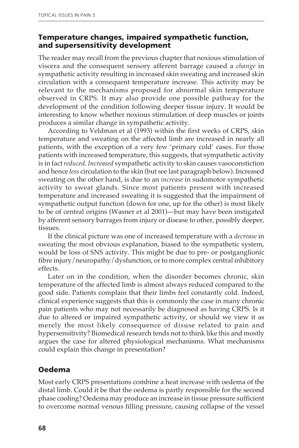#### **Temperature changes, impaired sympathetic function, and supersensitivity development**

The reader may recall from the previous chapter that noxious stimulation of viscera and the consequent sensory afferent barrage caused a *change* in sympathetic activity resulting in increased skin sweating and increased skin circulation with a consequent temperature increase. This activity may be relevant to the mechanisms proposed for abnormal skin temperature observed in CRPS. It may also provide one possible pathway for the development of the condition following deeper tissue injury. It would be interesting to know whether noxious stimulation of deep muscles or joints produces a similar change in sympathetic activity.

According to Veldman et al (1993) within the first weeks of CRPS, skin temperature and sweating on the affected limb are increased in nearly all patients, with the exception of a very few 'primary cold' cases. For those patients with increased temperature, this suggests, that sympathetic activity is in fact *reduced*. *Increased* sympathetic activity to skin causes vasoconstiction and hence *less* circulation to the skin (but see last paragraph below). Increased sweating on the other hand, is due to an *increase* in sudomotor sympathetic activity to sweat glands. Since most patients present with increased temperature and increased sweating it is suggested that the impairment of sympathetic output function (down for one, up for the other) is most likely to be of central origins (Wasner et al 2001)—but may have been instigated by afferent sensory barrages from injury or disease to other, possibly deeper, tissues.

If the clinical picture was one of increased temperature with a *decrease* in sweating the most obvious explanation, biased to the sympathetic system, would be loss of SNS activity. This might be due to pre- or postganglionic fibre injury/neuropathy/dysfunction, or to more complex central inhibitory effects.

Later on in the condition, when the disorder becomes chronic, skin temperature of the affected limb is almost always reduced compared to the good side. Patients complain that their limbs feel constantly cold. Indeed, clinical experience suggests that this is commonly the case in many chronic pain patients who may not necessarily be diagnosed as having CRPS. Is it due to altered or impaired sympathetic activity, or should we view it as merely the most likely consequence of disuse related to pain and hypersensitivity? Biomedical research tends not to think like this and mostly argues the case for altered physiological mechanisms. What mechanisms could explain this change in presentation?

#### **Oedema**

Most early CRPS presentations combine a heat increase with oedema of the distal limb. Could it be that the oedema is partly responsible for the second phase cooling? Oedema may produce an increase in tissue pressure sufficient to overcome normal venous filling pressure, causing collapse of the vessel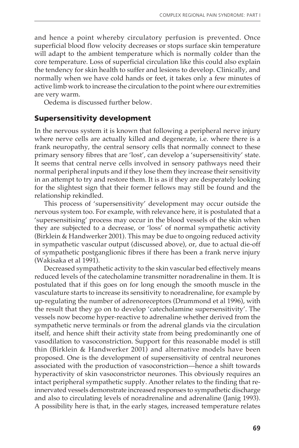and hence a point whereby circulatory perfusion is prevented. Once superficial blood flow velocity decreases or stops surface skin temperature will adapt to the ambient temperature which is normally colder than the core temperature. Loss of superficial circulation like this could also explain the tendency for skin health to suffer and lesions to develop. Clinically, and normally when we have cold hands or feet, it takes only a few minutes of active limb work to increase the circulation to the point where our extremities are very warm.

Oedema is discussed further below.

#### **Supersensitivity development**

In the nervous system it is known that following a peripheral nerve injury where nerve cells are actually killed and degenerate, i.e. where there is a frank neuropathy, the central sensory cells that normally connect to these primary sensory fibres that are 'lost', can develop a 'supersensitivity' state. It seems that central nerve cells involved in sensory pathways need their normal peripheral inputs and if they lose them they increase their sensitivity in an attempt to try and restore them. It is as if they are desperately looking for the slightest sign that their former fellows may still be found and the relationship rekindled.

This process of 'supersensitivity' development may occur outside the nervous system too. For example, with relevance here, it is postulated that a 'supersensitising' process may occur in the blood vessels of the skin when they are subjected to a decrease, or 'loss' of normal sympathetic activity (Birklein & Handwerker 2001). This may be due to ongoing reduced activity in sympathetic vascular output (discussed above), or, due to actual die-off of sympathetic postganglionic fibres if there has been a frank nerve injury (Wakisaka et al 1991).

Decreased sympathetic activity to the skin vascular bed effectively means reduced levels of the catecholamine transmitter noradrenaline in them. It is postulated that if this goes on for long enough the smooth muscle in the vasculature starts to increase its sensitivity to noradrenaline, for example by up-regulating the number of adrenoreceptors (Drummond et al 1996), with the result that they go on to develop 'catecholamine supersensitivity'. The vessels now become hyper-reactive to adrenaline whether derived from the sympathetic nerve terminals or from the adrenal glands via the circulation itself, and hence shift their activity state from being predominantly one of vasodilation to vasoconstriction. Support for this reasonable model is still thin (Birklein & Handwerker 2001) and alternative models have been proposed. One is the development of supersensitivity of central neurones associated with the production of vasoconstriction—hence a shift towards hyperactivity of skin vasoconstrictor neurones. This obviously requires an intact peripheral sympathetic supply. Another relates to the finding that reinnervated vessels demonstrate increased responses to sympathetic discharge and also to circulating levels of noradrenaline and adrenaline (Janig 1993). A possibility here is that, in the early stages, increased temperature relates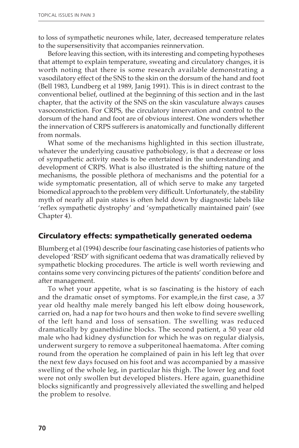to loss of sympathetic neurones while, later, decreased temperature relates to the supersensitivity that accompanies reinnervation.

Before leaving this section, with its interesting and competing hypotheses that attempt to explain temperature, sweating and circulatory changes, it is worth noting that there is some research available demonstrating a vasodilatory effect of the SNS to the skin on the dorsum of the hand and foot (Bell 1983, Lundberg et al 1989, Janig 1991). This is in direct contrast to the conventional belief, outlined at the beginning of this section and in the last chapter, that the activity of the SNS on the skin vasculature always causes vasoconstriction. For CRPS, the circulatory innervation and control to the dorsum of the hand and foot are of obvious interest. One wonders whether the innervation of CRPS sufferers is anatomically and functionally different from normals.

What some of the mechanisms highlighted in this section illustrate, whatever the underlying causative pathobiology, is that a decrease or loss of sympathetic activity needs to be entertained in the understanding and development of CRPS. What is also illustrated is the shifting nature of the mechanisms, the possible plethora of mechanisms and the potential for a wide symptomatic presentation, all of which serve to make any targeted biomedical approach to the problem very difficult. Unfortunately, the stability myth of nearly all pain states is often held down by diagnostic labels like 'reflex sympathetic dystrophy' and 'sympathetically maintained pain' (see Chapter 4).

#### **Circulatory effects: sympathetically generated oedema**

Blumberg et al (1994) describe four fascinating case histories of patients who developed 'RSD' with significant oedema that was dramatically relieved by sympathetic blocking procedures. The article is well worth reviewing and contains some very convincing pictures of the patients' condition before and after management.

To whet your appetite, what is so fascinating is the history of each and the dramatic onset of symptoms. For example,in the first case, a 37 year old healthy male merely banged his left elbow doing housework, carried on, had a nap for two hours and then woke to find severe swelling of the left hand and loss of sensation. The swelling was reduced dramatically by guanethidine blocks. The second patient, a 50 year old male who had kidney dysfunction for which he was on regular dialysis, underwent surgery to remove a subperitoneal haematoma. After coming round from the operation he complained of pain in his left leg that over the next few days focused on his foot and was accompanied by a massive swelling of the whole leg, in particular his thigh. The lower leg and foot were not only swollen but developed blisters. Here again, guanethidine blocks significantly and progressively alleviated the swelling and helped the problem to resolve.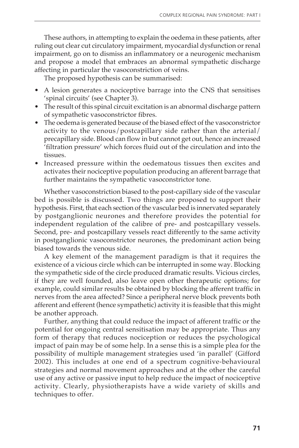These authors, in attempting to explain the oedema in these patients, after ruling out clear cut circulatory impairment, myocardial dysfunction or renal impairment, go on to dismiss an inflammatory or a neurogenic mechanism and propose a model that embraces an abnormal sympathetic discharge affecting in particular the vasoconstriction of veins.

The proposed hypothesis can be summarised:

- A lesion generates a nociceptive barrage into the CNS that sensitises 'spinal circuits' (see Chapter 3).
- The result of this spinal circuit excitation is an abnormal discharge pattern of sympathetic vasoconstrictor fibres.
- The oedema is generated because of the biased effect of the vasoconstrictor activity to the venous/postcapillary side rather than the arterial/ precapillary side. Blood can flow in but cannot get out, hence an increased 'filtration pressure' which forces fluid out of the circulation and into the tissues.
- Increased pressure within the oedematous tissues then excites and activates their nociceptive population producing an afferent barrage that further maintains the sympathetic vasoconstrictor tone.

Whether vasoconstriction biased to the post-capillary side of the vascular bed is possible is discussed. Two things are proposed to support their hypothesis. First, that each section of the vascular bed is innervated separately by postganglionic neurones and therefore provides the potential for independent regulation of the calibre of pre- and postcapillary vessels. Second, pre- and postcapillary vessels react differently to the same activity in postganglionic vasoconstrictor neurones, the predominant action being biased towards the venous side.

A key element of the management paradigm is that it requires the existence of a vicious circle which can be interrupted in some way. Blocking the sympathetic side of the circle produced dramatic results. Vicious circles, if they are well founded, also leave open other therapeutic options; for example, could similar results be obtained by blocking the afferent traffic in nerves from the area affected? Since a peripheral nerve block prevents both afferent and efferent (hence sympathetic) activity it is feasible that this might be another approach.

Further, anything that could reduce the impact of afferent traffic or the potential for ongoing central sensitisation may be appropriate. Thus any form of therapy that reduces nociception or reduces the psychological impact of pain may be of some help. In a sense this is a simple plea for the possibility of multiple management strategies used 'in parallel' (Gifford 2002). This includes at one end of a spectrum cognitive-behavioural strategies and normal movement approaches and at the other the careful use of any active or passive input to help reduce the impact of nociceptive activity. Clearly, physiotherapists have a wide variety of skills and techniques to offer.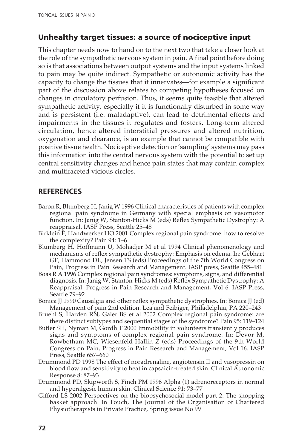#### **Unhealthy target tissues: a source of nociceptive input**

This chapter needs now to hand on to the next two that take a closer look at the role of the sympathetic nervous system in pain. A final point before doing so is that associations between output systems and the input systems linked to pain may be quite indirect. Sympathetic or autonomic activity has the capacity to change the tissues that it innervates—for example a significant part of the discussion above relates to competing hypotheses focused on changes in circulatory perfusion. Thus, it seems quite feasible that altered sympathetic activity, especially if it is functionally disturbed in some way and is persistent (i.e. maladaptive), can lead to detrimental effects and impairments in the tissues it regulates and fosters. Long-term altered circulation, hence altered interstitial pressures and altered nutrition, oxygenation and clearance, is an example that cannot be compatible with positive tissue health. Nociceptive detection or 'sampling' systems may pass this information into the central nervous system with the potential to set up central sensitivity changes and hence pain states that may contain complex and multifaceted vicious circles.

#### **REFERENCES**

- Baron R, Blumberg H, Janig W 1996 Clinical characteristics of patients with complex regional pain syndrome in Germany with special emphasis on vasomotor function. In: Janig W, Stanton-Hicks M (eds) Reflex Sympathetic Dystrophy: A reappraisal. IASP Press, Seattle 25–48
- Birklein F, Handwerker HO 2001 Complex regional pain syndrome: how to resolve the complexity? Pain 94: 1–6
- Blumberg H, Hoffmann U, Mohadjer M et al 1994 Clinical phenomenology and mechanisms of reflex sympathetic dystrophy: Emphasis on edema. In: Gebhart GF, Hammond DL, Jensen TS (eds) Proceedings of the 7th World Congress on Pain, Progress in Pain Research and Management. IASP press, Seattle 455–481
- Boas R A 1996 Complex regional pain syndromes: symptoms, signs, and differential diagnosis. In: Janig W, Stanton-Hicks M (eds) Reflex Sympathetic Dystrophy: A Reappraisal. Progress in Pain Research and Management, Vol 6. IASP Press, Seattle 79–92
- Bonica JJ 1990 Causalgia and other reflex sympathetic dystrophies. In: Bonica JJ (ed) Management of pain 2nd edition. Lea and Feibiger, Philadelphia, PA 220–243
- Bruehl S, Harden RN, Galer BS et al 2002 Complex regional pain syndrome: are there distinct subtypes and sequential stages of the syndrome? Pain 95: 119–124
- Butler SH, Nyman M, Gordh T 2000 Immobility in volunteers transiently produces signs and symptoms of complex regional pain syndrome. In: Devor M, Rowbotham MC, Wiesenfeld-Hallin Z (eds) Proceedings of the 9th World Congress on Pain, Progress in Pain Research and Management, Vol 16. IASP Press, Seattle 657–660
- Drummond PD 1998 The effect of noradrenaline, angiotensin II and vasopressin on blood flow and sensitivity to heat in capsaicin-treated skin. Clinical Autonomic Response 8: 87–93
- Drummond PD, Skipworth S, Finch PM 1996 Alpha (1) adrenoreceptors in normal and hyperalgesic human skin. Clinical Science 91: 73–77
- Gifford LS 2002 Perspectives on the biopsychosocial model part 2: The shopping basket approach. In Touch, The Journal of the Organisation of Chartered Physiotherapists in Private Practice, Spring issue No 99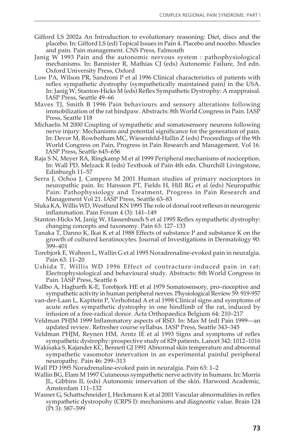- Gifford LS 2002a An Introduction to evolutionary reasoning: Diet, discs and the placebo. In: Gifford LS (ed) Topical Issues in Pain 4. Placebo and nocebo. Muscles and pain. Pain management. CNS Press, Falmouth
- Janig W 1993 Pain and the autonomic nervous system : pathophysiological mechanisms. In: Bannister R, Mathias CJ (eds) Autonomic Failure, 3rd edn. Oxford University Press, Oxford
- Low PA, Wilson PR, Sandroni P et al 1996 Clinical characteristics of patients with reflex sympathetic dystrophy (sympathetically maintained pain) in the USA. In: Janig W, Stanton-Hicks M (eds) Reflex Sympathetic Dystrophy: A reappraisal. IASP Press, Seattle 49–66
- Maves TJ, Smith B 1996 Pain behaviours and sensory alterations following immobilization of the rat hindpaw. Abstracts: 8th World Congress in Pain. IASP Press, Seattle 118
- Michaelis M 2000 Coupling of sympathetic and somatosensory neurons following nerve injury: Mechanisms and potential significance for the generation of pain. In: Devor M, Rowbotham MC, Wiesenfeld-Hallin Z (eds) Proceedings of the 9th World Congress on Pain, Progress in Pain Research and Management, Vol 16. IASP Press, Seattle 645–656
- Raja S N, Meyer RA, Ringkamp M et al 1999 Peripheral mechanisms of nociception. In: Wall PD, Melzack R (eds) Textbook of Pain 4th edn. Churchill Livingstone, Edinburgh 11–57
- Serra J, Ochoa J, Campero M 2001 Human studies of primary nociceptors in neuropathic pain. In: Hansson PT, Fields H, Hill RG et al (eds) Neuropathic Pain: Pathophysiology and Treatment, Progress in Pain Research and Management Vol 21. IASP Press, Seattle 63-83
- Sluka KA, Willis WD, Westlund KN 1995 The role of dorsal root reflexes in neurogenic inflammation. Pain Forum 4 (3): 141–149
- Stanton-Hicks M, Janig W, Hassenbusch S et al 1995 Reflex sympathetic dystrophy: changing concepts and taxonomy. Pain 63: 127–133
- Tanaka T, Danno K, Ikai K et al 1988 Effects of substance P and substance K on the growth of cultured keratinocytes. Journal of Investigations in Dermatology 90: 399–401
- Torebjork E, Wahren L, Wallin G et al 1995 Noradrenaline-evoked pain in neuralgia. Pain 63: 11–20
- Ushida T, Willis WD 1996 Effect of contracture-induced pain in rat: Electrophysiological and behavioural study. Abstracts: 8th World Congress in Pain. IASP Press, Seattle 6
- Vallbo A, Hagbarth K-E, Torebjork HE et al 1979 Somatosensory, pro–rioceptive and sympathetic activity in human peripheral nerves. Physiological Review 59: 919-957
- van-der-Laan L, Kapitein P, Verhofstad A et al 1998 Clinical signs and symptoms of acute reflex sympathetic dystrophy in one hindlimb of the rat, induced by infusion of a free-radical donor. Acta Orthopaedica Belgium 64: 210–217
- Veldman PHJM 1999 Inflammatory aspects of RSD. In: Max M (ed) Pain 1999—an updated review. Refresher course syllabus. IASP Press, Seattle 343–345
- Veldman PHJM, Reynen HM, Arntz IE et al 1993 Signs and symptoms of reflex sympathetic dystrophy: prospective study of 829 patients. Lancet 342: 1012–1016
- Wakisaka S, Kajander KC, Bennett GJ 1991 Abnormal skin temperature and abnormal sympathetic vasomotor innervation in an experimental painful peripheral neuropathy. Pain 46: 299–313
- Wall PD 1995 Noradrenaline-evoked pain in neuralgia. Pain 63: 1–2
- Wallin BG, Elam M 1997 Cutaneous sympathetic nerve activity in humans. In: Morris JL, Gibbins IL (eds) Autonomic innervation of the skin. Harwood Academic, Amsterdam 111–132
- Wasner G, Schattschneider J, Heckmann K et al 2001 Vascular abnormalities in reflex sympathetic dystropohy (CRPS I): mechanisms and diagnostic value. Brain 124  $(\bar{P}t\bar{3})$ : 587–599